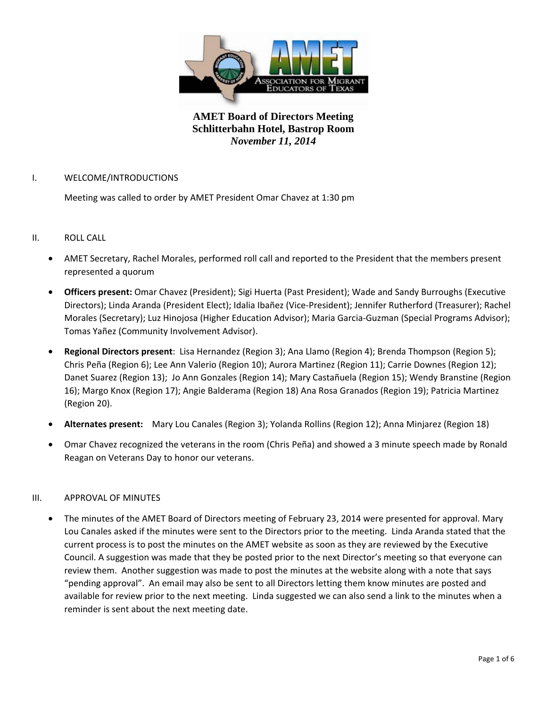

## I. WELCOME/INTRODUCTIONS

Meeting was called to order by AMET President Omar Chavez at 1:30 pm

## II. ROLL CALL

- AMET Secretary, Rachel Morales, performed roll call and reported to the President that the members present represented a quorum
- **Officers present:** Omar Chavez (President); Sigi Huerta (Past President); Wade and Sandy Burroughs (Executive Directors); Linda Aranda (President Elect); Idalia Ibañez (Vice-President); Jennifer Rutherford (Treasurer); Rachel Morales (Secretary); Luz Hinojosa (Higher Education Advisor); Maria Garcia-Guzman (Special Programs Advisor); Tomas Yañez (Community Involvement Advisor).
- **Regional Directors present**: Lisa Hernandez (Region 3); Ana Llamo (Region 4); Brenda Thompson (Region 5); Chris Peña (Region 6); Lee Ann Valerio (Region 10); Aurora Martinez (Region 11); Carrie Downes (Region 12); Danet Suarez (Region 13); Jo Ann Gonzales (Region 14); Mary Castañuela (Region 15); Wendy Branstine (Region 16); Margo Knox (Region 17); Angie Balderama (Region 18) Ana Rosa Granados (Region 19); Patricia Martinez (Region 20).
- **Alternates present:** Mary Lou Canales (Region 3); Yolanda Rollins (Region 12); Anna Minjarez (Region 18)
- Omar Chavez recognized the veterans in the room (Chris Peña) and showed a 3 minute speech made by Ronald Reagan on Veterans Day to honor our veterans.

## III. APPROVAL OF MINUTES

• The minutes of the AMET Board of Directors meeting of February 23, 2014 were presented for approval. Mary Lou Canales asked if the minutes were sent to the Directors prior to the meeting. Linda Aranda stated that the current process is to post the minutes on the AMET website as soon as they are reviewed by the Executive Council. A suggestion was made that they be posted prior to the next Director's meeting so that everyone can review them. Another suggestion was made to post the minutes at the website along with a note that says "pending approval". An email may also be sent to all Directors letting them know minutes are posted and available for review prior to the next meeting. Linda suggested we can also send a link to the minutes when a reminder is sent about the next meeting date.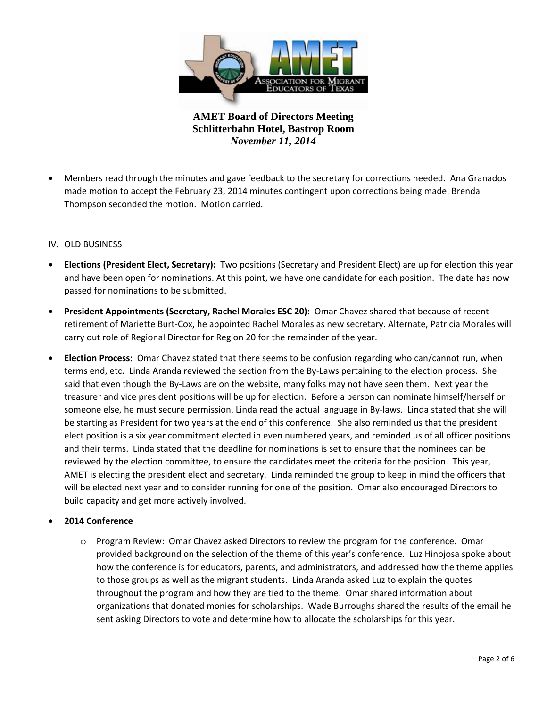

• Members read through the minutes and gave feedback to the secretary for corrections needed. Ana Granados made motion to accept the February 23, 2014 minutes contingent upon corrections being made. Brenda Thompson seconded the motion. Motion carried.

## IV. OLD BUSINESS

- **Elections (President Elect, Secretary):** Two positions (Secretary and President Elect) are up for election this year and have been open for nominations. At this point, we have one candidate for each position. The date has now passed for nominations to be submitted.
- **President Appointments (Secretary, Rachel Morales ESC 20):** Omar Chavez shared that because of recent retirement of Mariette Burt-Cox, he appointed Rachel Morales as new secretary. Alternate, Patricia Morales will carry out role of Regional Director for Region 20 for the remainder of the year.
- **Election Process:** Omar Chavez stated that there seems to be confusion regarding who can/cannot run, when terms end, etc. Linda Aranda reviewed the section from the By-Laws pertaining to the election process. She said that even though the By-Laws are on the website, many folks may not have seen them. Next year the treasurer and vice president positions will be up for election. Before a person can nominate himself/herself or someone else, he must secure permission. Linda read the actual language in By-laws. Linda stated that she will be starting as President for two years at the end of this conference. She also reminded us that the president elect position is a six year commitment elected in even numbered years, and reminded us of all officer positions and their terms. Linda stated that the deadline for nominations is set to ensure that the nominees can be reviewed by the election committee, to ensure the candidates meet the criteria for the position. This year, AMET is electing the president elect and secretary. Linda reminded the group to keep in mind the officers that will be elected next year and to consider running for one of the position. Omar also encouraged Directors to build capacity and get more actively involved.

## • **2014 Conference**

o Program Review: Omar Chavez asked Directors to review the program for the conference. Omar provided background on the selection of the theme of this year's conference. Luz Hinojosa spoke about how the conference is for educators, parents, and administrators, and addressed how the theme applies to those groups as well as the migrant students. Linda Aranda asked Luz to explain the quotes throughout the program and how they are tied to the theme. Omar shared information about organizations that donated monies for scholarships. Wade Burroughs shared the results of the email he sent asking Directors to vote and determine how to allocate the scholarships for this year.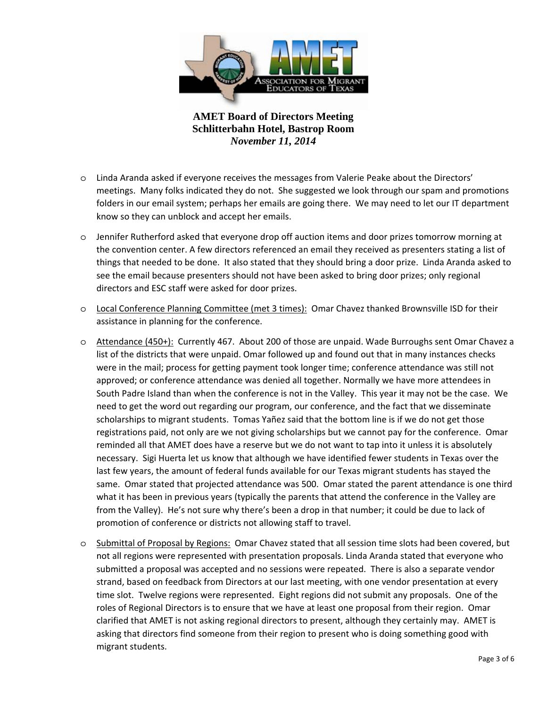

- o Linda Aranda asked if everyone receives the messages from Valerie Peake about the Directors' meetings. Many folks indicated they do not. She suggested we look through our spam and promotions folders in our email system; perhaps her emails are going there. We may need to let our IT department know so they can unblock and accept her emails.
- o Jennifer Rutherford asked that everyone drop off auction items and door prizes tomorrow morning at the convention center. A few directors referenced an email they received as presenters stating a list of things that needed to be done. It also stated that they should bring a door prize. Linda Aranda asked to see the email because presenters should not have been asked to bring door prizes; only regional directors and ESC staff were asked for door prizes.
- o Local Conference Planning Committee (met 3 times): Omar Chavez thanked Brownsville ISD for their assistance in planning for the conference.
- o Attendance (450+): Currently 467. About 200 of those are unpaid. Wade Burroughs sent Omar Chavez a list of the districts that were unpaid. Omar followed up and found out that in many instances checks were in the mail; process for getting payment took longer time; conference attendance was still not approved; or conference attendance was denied all together. Normally we have more attendees in South Padre Island than when the conference is not in the Valley. This year it may not be the case. We need to get the word out regarding our program, our conference, and the fact that we disseminate scholarships to migrant students. Tomas Yañez said that the bottom line is if we do not get those registrations paid, not only are we not giving scholarships but we cannot pay for the conference. Omar reminded all that AMET does have a reserve but we do not want to tap into it unless it is absolutely necessary. Sigi Huerta let us know that although we have identified fewer students in Texas over the last few years, the amount of federal funds available for our Texas migrant students has stayed the same. Omar stated that projected attendance was 500. Omar stated the parent attendance is one third what it has been in previous years (typically the parents that attend the conference in the Valley are from the Valley). He's not sure why there's been a drop in that number; it could be due to lack of promotion of conference or districts not allowing staff to travel.
- o Submittal of Proposal by Regions: Omar Chavez stated that all session time slots had been covered, but not all regions were represented with presentation proposals. Linda Aranda stated that everyone who submitted a proposal was accepted and no sessions were repeated. There is also a separate vendor strand, based on feedback from Directors at our last meeting, with one vendor presentation at every time slot. Twelve regions were represented. Eight regions did not submit any proposals. One of the roles of Regional Directors is to ensure that we have at least one proposal from their region. Omar clarified that AMET is not asking regional directors to present, although they certainly may. AMET is asking that directors find someone from their region to present who is doing something good with migrant students.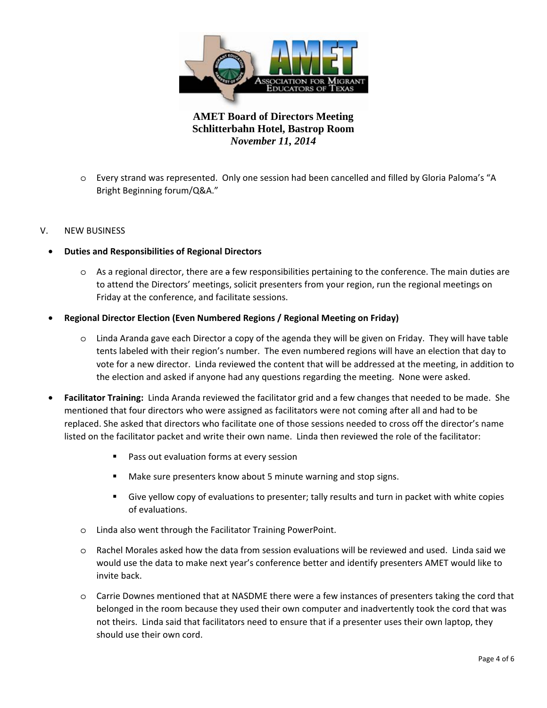

o Every strand was represented. Only one session had been cancelled and filled by Gloria Paloma's "A Bright Beginning forum/Q&A."

## V. NEW BUSINESS

#### • **Duties and Responsibilities of Regional Directors**

o As a regional director, there are a few responsibilities pertaining to the conference. The main duties are to attend the Directors' meetings, solicit presenters from your region, run the regional meetings on Friday at the conference, and facilitate sessions.

#### • **Regional Director Election (Even Numbered Regions / Regional Meeting on Friday)**

- o Linda Aranda gave each Director a copy of the agenda they will be given on Friday. They will have table tents labeled with their region's number. The even numbered regions will have an election that day to vote for a new director. Linda reviewed the content that will be addressed at the meeting, in addition to the election and asked if anyone had any questions regarding the meeting. None were asked.
- **Facilitator Training:** Linda Aranda reviewed the facilitator grid and a few changes that needed to be made. She mentioned that four directors who were assigned as facilitators were not coming after all and had to be replaced. She asked that directors who facilitate one of those sessions needed to cross off the director's name listed on the facilitator packet and write their own name. Linda then reviewed the role of the facilitator:
	- **Pass out evaluation forms at every session**
	- Make sure presenters know about 5 minute warning and stop signs.
	- Give yellow copy of evaluations to presenter; tally results and turn in packet with white copies of evaluations.
	- o Linda also went through the Facilitator Training PowerPoint.
	- o Rachel Morales asked how the data from session evaluations will be reviewed and used. Linda said we would use the data to make next year's conference better and identify presenters AMET would like to invite back.
	- o Carrie Downes mentioned that at NASDME there were a few instances of presenters taking the cord that belonged in the room because they used their own computer and inadvertently took the cord that was not theirs. Linda said that facilitators need to ensure that if a presenter uses their own laptop, they should use their own cord.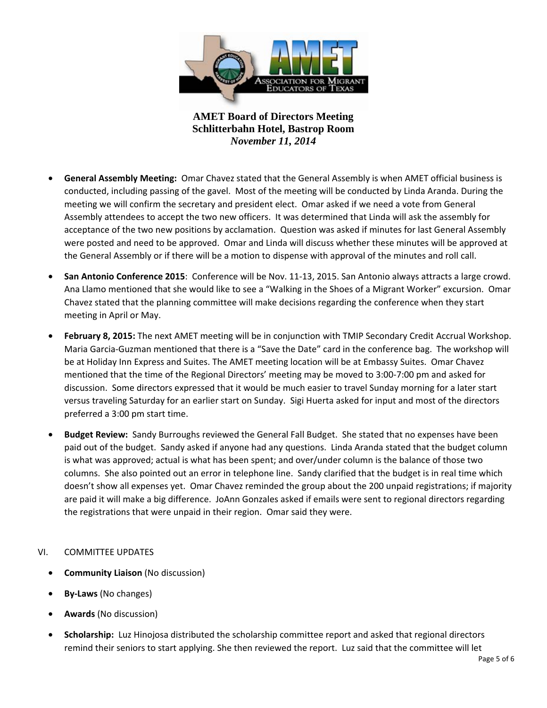

- **General Assembly Meeting:** Omar Chavez stated that the General Assembly is when AMET official business is conducted, including passing of the gavel. Most of the meeting will be conducted by Linda Aranda. During the meeting we will confirm the secretary and president elect. Omar asked if we need a vote from General Assembly attendees to accept the two new officers. It was determined that Linda will ask the assembly for acceptance of the two new positions by acclamation. Question was asked if minutes for last General Assembly were posted and need to be approved. Omar and Linda will discuss whether these minutes will be approved at the General Assembly or if there will be a motion to dispense with approval of the minutes and roll call.
- **San Antonio Conference 2015**: Conference will be Nov. 11-13, 2015. San Antonio always attracts a large crowd. Ana Llamo mentioned that she would like to see a "Walking in the Shoes of a Migrant Worker" excursion. Omar Chavez stated that the planning committee will make decisions regarding the conference when they start meeting in April or May.
- **February 8, 2015:** The next AMET meeting will be in conjunction with TMIP Secondary Credit Accrual Workshop. Maria Garcia-Guzman mentioned that there is a "Save the Date" card in the conference bag. The workshop will be at Holiday Inn Express and Suites. The AMET meeting location will be at Embassy Suites. Omar Chavez mentioned that the time of the Regional Directors' meeting may be moved to 3:00-7:00 pm and asked for discussion. Some directors expressed that it would be much easier to travel Sunday morning for a later start versus traveling Saturday for an earlier start on Sunday. Sigi Huerta asked for input and most of the directors preferred a 3:00 pm start time.
- **Budget Review:** Sandy Burroughs reviewed the General Fall Budget. She stated that no expenses have been paid out of the budget. Sandy asked if anyone had any questions. Linda Aranda stated that the budget column is what was approved; actual is what has been spent; and over/under column is the balance of those two columns. She also pointed out an error in telephone line. Sandy clarified that the budget is in real time which doesn't show all expenses yet. Omar Chavez reminded the group about the 200 unpaid registrations; if majority are paid it will make a big difference. JoAnn Gonzales asked if emails were sent to regional directors regarding the registrations that were unpaid in their region. Omar said they were.

## VI. COMMITTEE UPDATES

- **Community Liaison** (No discussion)
- **By-Laws** (No changes)
- **Awards** (No discussion)
- **Scholarship:** Luz Hinojosa distributed the scholarship committee report and asked that regional directors remind their seniors to start applying. She then reviewed the report. Luz said that the committee will let